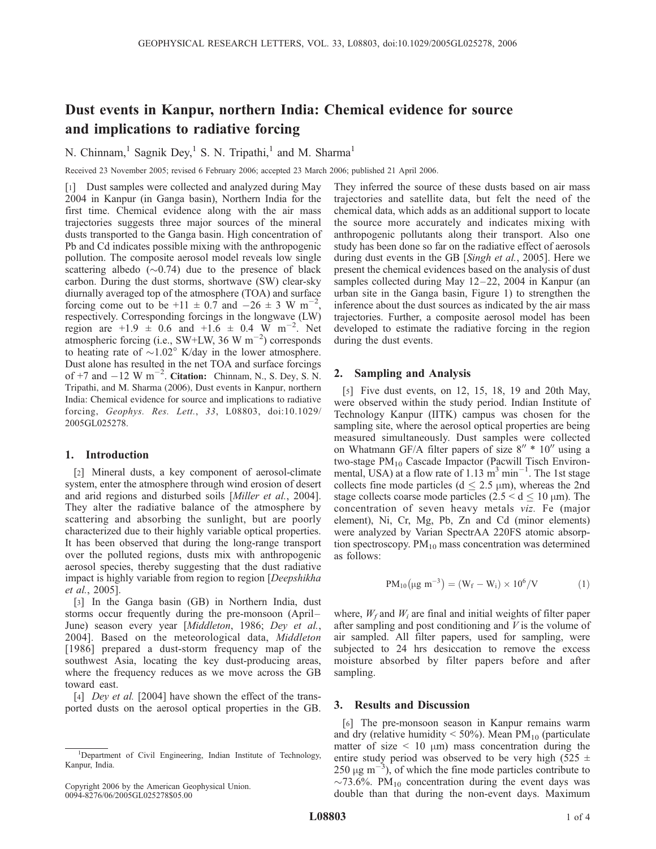# Dust events in Kanpur, northern India: Chemical evidence for source and implications to radiative forcing

N. Chinnam,<sup>1</sup> Sagnik Dey,<sup>1</sup> S. N. Tripathi,<sup>1</sup> and M. Sharma<sup>1</sup>

Received 23 November 2005; revised 6 February 2006; accepted 23 March 2006; published 21 April 2006.

[1] Dust samples were collected and analyzed during May 2004 in Kanpur (in Ganga basin), Northern India for the first time. Chemical evidence along with the air mass trajectories suggests three major sources of the mineral dusts transported to the Ganga basin. High concentration of Pb and Cd indicates possible mixing with the anthropogenic pollution. The composite aerosol model reveals low single scattering albedo  $(\sim 0.74)$  due to the presence of black carbon. During the dust storms, shortwave (SW) clear-sky diurnally averaged top of the atmosphere (TOA) and surface forcing come out to be +11  $\pm$  0.7 and  $-26 \pm 3$  W m<sup>-1</sup> 2 , respectively. Corresponding forcings in the longwave (LW) region are  $+1.9 \pm 0.6$  and  $+1.6 \pm 0.4$  W m<sup>-2</sup>. Net atmospheric forcing (i.e., SW+LW, 36 W  $m^{-2}$ ) corresponds to heating rate of  $\sim$ 1.02° K/day in the lower atmosphere. Dust alone has resulted in the net TOA and surface forcings of  $+7$  and  $-12 \text{ W m}^{-2}$ . Citation: Chinnam, N., S. Dey, S. N. Tripathi, and M. Sharma (2006), Dust events in Kanpur, northern India: Chemical evidence for source and implications to radiative forcing, Geophys. Res. Lett., 33, L08803, doi:10.1029/ 2005GL025278.

## 1. Introduction

[2] Mineral dusts, a key component of aerosol-climate system, enter the atmosphere through wind erosion of desert and arid regions and disturbed soils [Miller et al., 2004]. They alter the radiative balance of the atmosphere by scattering and absorbing the sunlight, but are poorly characterized due to their highly variable optical properties. It has been observed that during the long-range transport over the polluted regions, dusts mix with anthropogenic aerosol species, thereby suggesting that the dust radiative impact is highly variable from region to region [Deepshikha et al., 2005].

[3] In the Ganga basin (GB) in Northern India, dust storms occur frequently during the pre-monsoon (April – June) season every year [Middleton, 1986; Dey et al., 2004]. Based on the meteorological data, Middleton [1986] prepared a dust-storm frequency map of the southwest Asia, locating the key dust-producing areas, where the frequency reduces as we move across the GB toward east.

[4] *Dey et al.* [2004] have shown the effect of the transported dusts on the aerosol optical properties in the GB.

They inferred the source of these dusts based on air mass trajectories and satellite data, but felt the need of the chemical data, which adds as an additional support to locate the source more accurately and indicates mixing with anthropogenic pollutants along their transport. Also one study has been done so far on the radiative effect of aerosols during dust events in the GB [Singh et al., 2005]. Here we present the chemical evidences based on the analysis of dust samples collected during May  $12-22$ , 2004 in Kanpur (an urban site in the Ganga basin, Figure 1) to strengthen the inference about the dust sources as indicated by the air mass trajectories. Further, a composite aerosol model has been developed to estimate the radiative forcing in the region during the dust events.

# 2. Sampling and Analysis

[5] Five dust events, on 12, 15, 18, 19 and 20th May, were observed within the study period. Indian Institute of Technology Kanpur (IITK) campus was chosen for the sampling site, where the aerosol optical properties are being measured simultaneously. Dust samples were collected on Whatmann GF/A filter papers of size  $8'' * 10''$  using a two-stage PM<sub>10</sub> Cascade Impactor (Pacwill Tisch Environmental, USA) at a flow rate of 1.13  $\text{m}^3 \text{ min}^{-1}$ . The 1st stage collects fine mode particles ( $d \le 2.5 \text{ }\mu\text{m}$ ), whereas the 2nd stage collects coarse mode particles ( $2.5 \le d \le 10 \,\mu m$ ). The concentration of seven heavy metals viz. Fe (major element), Ni, Cr, Mg, Pb, Zn and Cd (minor elements) were analyzed by Varian SpectrAA 220FS atomic absorption spectroscopy.  $PM_{10}$  mass concentration was determined as follows:

$$
PM_{10}(\mu g \ m^{-3}) = (W_f - W_i) \times 10^6/V \tag{1}
$$

where,  $W_f$  and  $W_i$  are final and initial weights of filter paper after sampling and post conditioning and  $V$  is the volume of air sampled. All filter papers, used for sampling, were subjected to 24 hrs desiccation to remove the excess moisture absorbed by filter papers before and after sampling.

## 3. Results and Discussion

[6] The pre-monsoon season in Kanpur remains warm and dry (relative humidity  $\leq 50\%$ ). Mean PM<sub>10</sub> (particulate matter of size  $\leq 10 \mu m$  mass concentration during the entire study period was observed to be very high (525  $\pm$ 250  $\mu$ g m<sup>-3</sup>), of which the fine mode particles contribute to  $\sim$ 73.6%. PM<sub>10</sub> concentration during the event days was double than that during the non-event days. Maximum

<sup>&</sup>lt;sup>1</sup>Department of Civil Engineering, Indian Institute of Technology, Kanpur, India.

Copyright 2006 by the American Geophysical Union. 0094-8276/06/2005GL025278\$05.00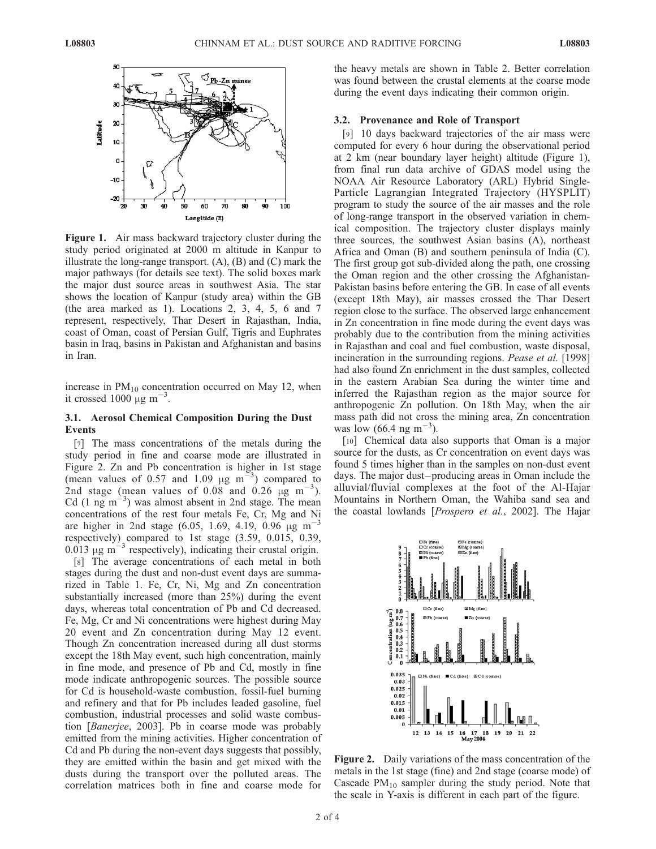

Figure 1. Air mass backward trajectory cluster during the study period originated at 2000 m altitude in Kanpur to illustrate the long-range transport.  $(A)$ ,  $(B)$  and  $(C)$  mark the major pathways (for details see text). The solid boxes mark the major dust source areas in southwest Asia. The star shows the location of Kanpur (study area) within the GB (the area marked as 1). Locations 2, 3, 4, 5, 6 and 7 represent, respectively, Thar Desert in Rajasthan, India, coast of Oman, coast of Persian Gulf, Tigris and Euphrates basin in Iraq, basins in Pakistan and Afghanistan and basins in Iran.

increase in  $PM_{10}$  concentration occurred on May 12, when it crossed  $1000 \mu g \text{ m}^{-3}$ .

# 3.1. Aerosol Chemical Composition During the Dust Events

[7] The mass concentrations of the metals during the study period in fine and coarse mode are illustrated in Figure 2. Zn and Pb concentration is higher in 1st stage (mean values of 0.57 and 1.09  $\mu$ g m<sup>-3</sup>) compared to 2nd stage (mean values of 0.08 and 0.26  $\mu$ g m<sup>-3</sup>). Cd  $(1 \text{ ng m}^{-3})$  was almost absent in 2nd stage. The mean concentrations of the rest four metals Fe, Cr, Mg and Ni are higher in 2nd stage (6.05, 1.69, 4.19, 0.96  $\mu$ g m<sup>-3</sup> respectively)<sub>2</sub> compared to 1st stage  $(3.59, 0.015, 0.39, 0.015)$  $0.013 \mu g$  m<sup>-3</sup> respectively), indicating their crustal origin.

[8] The average concentrations of each metal in both stages during the dust and non-dust event days are summarized in Table 1. Fe, Cr, Ni, Mg and Zn concentration substantially increased (more than 25%) during the event days, whereas total concentration of Pb and Cd decreased. Fe, Mg, Cr and Ni concentrations were highest during May 20 event and Zn concentration during May 12 event. Though Zn concentration increased during all dust storms except the 18th May event, such high concentration, mainly in fine mode, and presence of Pb and Cd, mostly in fine mode indicate anthropogenic sources. The possible source for Cd is household-waste combustion, fossil-fuel burning and refinery and that for Pb includes leaded gasoline, fuel combustion, industrial processes and solid waste combustion [Banerjee, 2003]. Pb in coarse mode was probably emitted from the mining activities. Higher concentration of Cd and Pb during the non-event days suggests that possibly, they are emitted within the basin and get mixed with the dusts during the transport over the polluted areas. The correlation matrices both in fine and coarse mode for

the heavy metals are shown in Table 2. Better correlation was found between the crustal elements at the coarse mode during the event days indicating their common origin.

### 3.2. Provenance and Role of Transport

[9] 10 days backward trajectories of the air mass were computed for every 6 hour during the observational period at 2 km (near boundary layer height) altitude (Figure 1), from final run data archive of GDAS model using the NOAA Air Resource Laboratory (ARL) Hybrid Single-Particle Lagrangian Integrated Trajectory (HYSPLIT) program to study the source of the air masses and the role of long-range transport in the observed variation in chemical composition. The trajectory cluster displays mainly three sources, the southwest Asian basins (A), northeast Africa and Oman (B) and southern peninsula of India (C). The first group got sub-divided along the path, one crossing the Oman region and the other crossing the Afghanistan-Pakistan basins before entering the GB. In case of all events (except 18th May), air masses crossed the Thar Desert region close to the surface. The observed large enhancement in Zn concentration in fine mode during the event days was probably due to the contribution from the mining activities in Rajasthan and coal and fuel combustion, waste disposal, incineration in the surrounding regions. Pease et al. [1998] had also found Zn enrichment in the dust samples, collected in the eastern Arabian Sea during the winter time and inferred the Rajasthan region as the major source for anthropogenic Zn pollution. On 18th May, when the air mass path did not cross the mining area, Zn concentration was low  $(66.4 \text{ ng m}^{-3})$ .

[10] Chemical data also supports that Oman is a major source for the dusts, as Cr concentration on event days was found 5 times higher than in the samples on non-dust event days. The major dust-producing areas in Oman include the alluvial/fluvial complexes at the foot of the Al-Hajar Mountains in Northern Oman, the Wahiba sand sea and the coastal lowlands [Prospero et al., 2002]. The Hajar



Figure 2. Daily variations of the mass concentration of the metals in the 1st stage (fine) and 2nd stage (coarse mode) of Cascade  $PM_{10}$  sampler during the study period. Note that the scale in Y-axis is different in each part of the figure.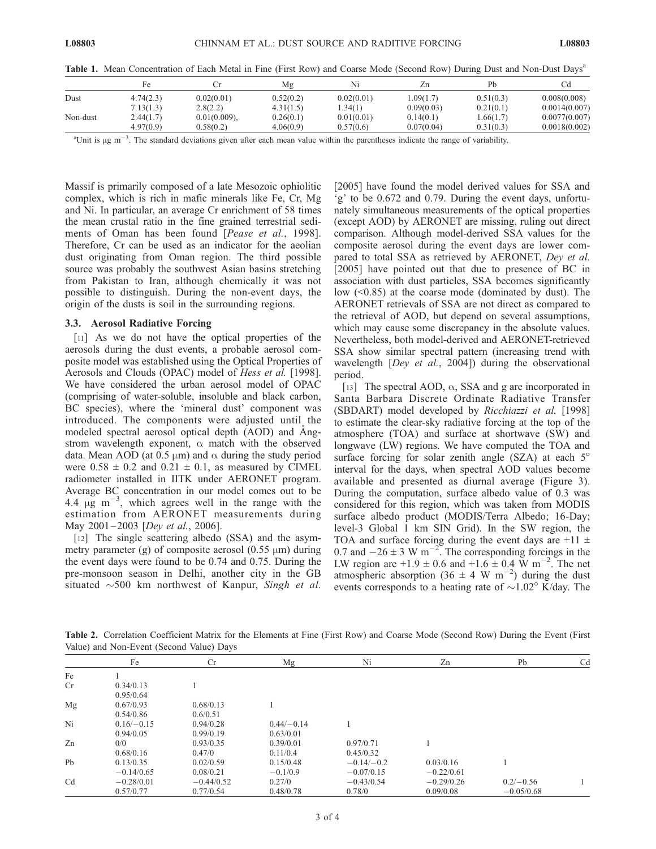|          | Fе        |              | Μg        |            | Ζn         |           |               |
|----------|-----------|--------------|-----------|------------|------------|-----------|---------------|
| Dust     | 4.74(2.3) | 0.02(0.01)   | 0.52(0.2) | 0.02(0.01) | 1.09(1.7)  | 0.51(0.3) | 0.008(0.008)  |
|          | 7.13(1.3) | 2.8(2.2)     | 4.31(1.5) | 1.34(1)    | 0.09(0.03) | 0.21(0.1) | 0.0014(0.007) |
| Non-dust | 2.44(1.7) | 0.01(0.009), | 0.26(0.1) | 0.01(0.01) | 0.14(0.1)  | 1.66(1.7) | 0.0077(0.007) |
|          | 4.97(0.9) | 0.58(0.2)    | 4.06(0.9) | 0.57(0.6)  | 0.07(0.04) | 0.31(0.3) | 0.0018(0.002) |

Table 1. Mean Concentration of Each Metal in Fine (First Row) and Coarse Mode (Second Row) During Dust and Non-Dust Days<sup>a</sup>

<sup>a</sup>Unit is  $\mu$ g m<sup>-3</sup>. The standard deviations given after each mean value within the parentheses indicate the range of variability.

Massif is primarily composed of a late Mesozoic ophiolitic complex, which is rich in mafic minerals like Fe, Cr, Mg and Ni. In particular, an average Cr enrichment of 58 times the mean crustal ratio in the fine grained terrestrial sediments of Oman has been found [*Pease et al.*, 1998]. Therefore, Cr can be used as an indicator for the aeolian dust originating from Oman region. The third possible source was probably the southwest Asian basins stretching from Pakistan to Iran, although chemically it was not possible to distinguish. During the non-event days, the origin of the dusts is soil in the surrounding regions.

### 3.3. Aerosol Radiative Forcing

[11] As we do not have the optical properties of the aerosols during the dust events, a probable aerosol composite model was established using the Optical Properties of Aerosols and Clouds (OPAC) model of Hess et al. [1998]. We have considered the urban aerosol model of OPAC (comprising of water-soluble, insoluble and black carbon, BC species), where the 'mineral dust' component was introduced. The components were adjusted until the modeled spectral aerosol optical depth (AOD) and Angstrom wavelength exponent,  $\alpha$  match with the observed data. Mean AOD (at 0.5  $\mu$ m) and  $\alpha$  during the study period were  $0.58 \pm 0.2$  and  $0.21 \pm 0.1$ , as measured by CIMEL radiometer installed in IITK under AERONET program. Average BC concentration in our model comes out to be 4.4  $\mu$ g m<sup>-3</sup>, which agrees well in the range with the estimation from AERONET measurements during May 2001 –2003 [Dey et al., 2006].

[12] The single scattering albedo (SSA) and the asymmetry parameter (g) of composite aerosol (0.55  $\mu$ m) during the event days were found to be 0.74 and 0.75. During the pre-monsoon season in Delhi, another city in the GB situated  $\sim$ 500 km northwest of Kanpur, Singh et al. [2005] have found the model derived values for SSA and 'g' to be 0.672 and 0.79. During the event days, unfortunately simultaneous measurements of the optical properties (except AOD) by AERONET are missing, ruling out direct comparison. Although model-derived SSA values for the composite aerosol during the event days are lower compared to total SSA as retrieved by AERONET, Dey et al. [2005] have pointed out that due to presence of BC in association with dust particles, SSA becomes significantly low (<0.85) at the coarse mode (dominated by dust). The AERONET retrievals of SSA are not direct as compared to the retrieval of AOD, but depend on several assumptions, which may cause some discrepancy in the absolute values. Nevertheless, both model-derived and AERONET-retrieved SSA show similar spectral pattern (increasing trend with wavelength [Dey et al., 2004]) during the observational period.

[13] The spectral AOD,  $\alpha$ , SSA and g are incorporated in Santa Barbara Discrete Ordinate Radiative Transfer (SBDART) model developed by Ricchiazzi et al. [1998] to estimate the clear-sky radiative forcing at the top of the atmosphere (TOA) and surface at shortwave (SW) and longwave (LW) regions. We have computed the TOA and surface forcing for solar zenith angle  $(SZA)$  at each  $5^\circ$ interval for the days, when spectral AOD values become available and presented as diurnal average (Figure 3). During the computation, surface albedo value of 0.3 was considered for this region, which was taken from MODIS surface albedo product (MODIS/Terra Albedo; 16-Day; level-3 Global 1 km SIN Grid). In the SW region, the TOA and surface forcing during the event days are  $+11 \pm 1$ 0.7 and  $-26 \pm 3$  W m<sup>-2</sup>. The corresponding forcings in the LW region are  $+1.9 \pm 0.6$  and  $+1.6 \pm 0.4$  W m<sup>-2</sup>. The net atmospheric absorption (36  $\pm$  4 W m<sup>-2</sup>) during the dust events corresponds to a heating rate of  $\sim$ 1.02 $\degree$  K/day. The

Table 2. Correlation Coefficient Matrix for the Elements at Fine (First Row) and Coarse Mode (Second Row) During the Event (First Value) and Non-Event (Second Value) Days

|    | Fe           | Cr           | Mg           | Ni           | Zn           | Pb           | C <sub>d</sub> |
|----|--------------|--------------|--------------|--------------|--------------|--------------|----------------|
| Fe |              |              |              |              |              |              |                |
| Cr | 0.34/0.13    |              |              |              |              |              |                |
|    | 0.95/0.64    |              |              |              |              |              |                |
| Mg | 0.67/0.93    | 0.68/0.13    |              |              |              |              |                |
|    | 0.54/0.86    | 0.6/0.51     |              |              |              |              |                |
| Ni | $0.16/-0.15$ | 0.94/0.28    | $0.44/-0.14$ |              |              |              |                |
|    | 0.94/0.05    | 0.99/0.19    | 0.63/0.01    |              |              |              |                |
| Zn | 0/0          | 0.93/0.35    | 0.39/0.01    | 0.97/0.71    |              |              |                |
|    | 0.68/0.16    | 0.47/0       | 0.11/0.4     | 0.45/0.32    |              |              |                |
| Pb | 0.13/0.35    | 0.02/0.59    | 0.15/0.48    | $-0.14/-0.2$ | 0.03/0.16    |              |                |
|    | $-0.14/0.65$ | 0.08/0.21    | $-0.1/0.9$   | $-0.07/0.15$ | $-0.22/0.61$ |              |                |
| Cd | $-0.28/0.01$ | $-0.44/0.52$ | 0.27/0       | $-0.43/0.54$ | $-0.29/0.26$ | $0.2/-0.56$  |                |
|    | 0.57/0.77    | 0.77/0.54    | 0.48/0.78    | 0.78/0       | 0.09/0.08    | $-0.05/0.68$ |                |